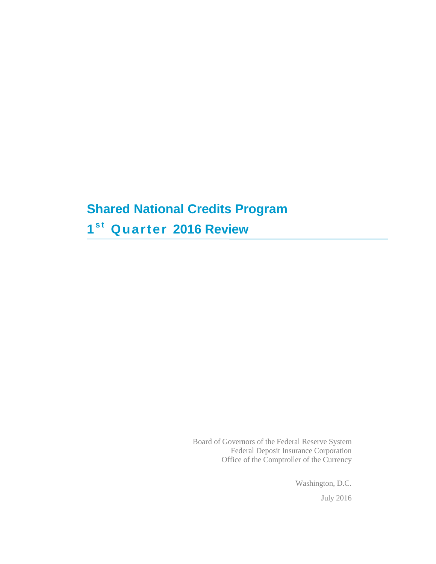# **Shared National Credits Program 1s t Quarter 2016 Review**

Board of Governors of the Federal Reserve System Federal Deposit Insurance Corporation Office of the Comptroller of the Currency

> Washington, D.C. July 2016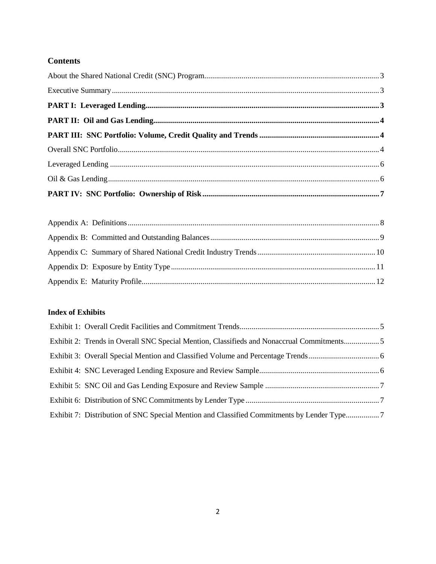## **Contents**

## **Index of Exhibits**

| Exhibit 2: Trends in Overall SNC Special Mention, Classifieds and Nonaccrual Commitments5 |  |
|-------------------------------------------------------------------------------------------|--|
|                                                                                           |  |
|                                                                                           |  |
|                                                                                           |  |
|                                                                                           |  |
| Exhibit 7: Distribution of SNC Special Mention and Classified Commitments by Lender Type7 |  |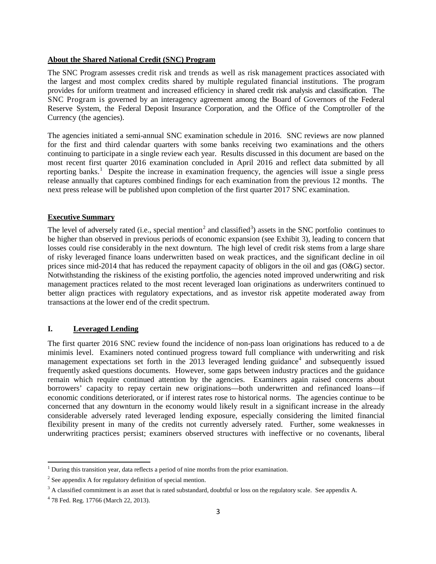#### <span id="page-2-0"></span>**About the Shared National Credit (SNC) Program**

The SNC Program assesses credit risk and trends as well as risk management practices associated with the largest and most complex credits shared by multiple regulated financial institutions. The program provides for uniform treatment and increased efficiency in shared credit risk analysis and classification. The SNC Program is governed by an interagency agreement among the Board of Governors of the Federal Reserve System, the Federal Deposit Insurance Corporation, and the Office of the Comptroller of the Currency (the agencies).

The agencies initiated a semi-annual SNC examination schedule in 2016. SNC reviews are now planned for the first and third calendar quarters with some banks receiving two examinations and the others continuing to participate in a single review each year. Results discussed in this document are based on the most recent first quarter 2016 examination concluded in April 2016 and reflect data submitted by all reporting banks.<sup>[1](#page-2-1)</sup> Despite the increase in examination frequency, the agencies will issue a single press release annually that captures combined findings for each examination from the previous 12 months. The next press release will be published upon completion of the first quarter 2017 SNC examination.

#### **Executive Summary**

The level of adversely rated (i.e., special mention<sup>[2](#page-2-2)</sup> and classified<sup>[3](#page-2-3)</sup>) assets in the SNC portfolio continues to be higher than observed in previous periods of economic expansion (see Exhibit 3), leading to concern that losses could rise considerably in the next downturn. The high level of credit risk stems from a large share of risky leveraged finance loans underwritten based on weak practices, and the significant decline in oil prices since mid-2014 that has reduced the repayment capacity of obligors in the oil and gas (O&G) sector. Notwithstanding the riskiness of the existing portfolio, the agencies noted improved underwriting and risk management practices related to the most recent leveraged loan originations as underwriters continued to better align practices with regulatory expectations, and as investor risk appetite moderated away from transactions at the lower end of the credit spectrum.

### **I. Leveraged Lending**

The first quarter 2016 SNC review found the incidence of non-pass loan originations has reduced to a de minimis level. Examiners noted continued progress toward full compliance with underwriting and risk management expectations set forth in the  $2013$  leveraged lending guidance<sup>[4](#page-2-4)</sup> and subsequently issued frequently asked questions documents. However, some gaps between industry practices and the guidance remain which require continued attention by the agencies. Examiners again raised concerns about borrowers' capacity to repay certain new originations—both underwritten and refinanced loans—if economic conditions deteriorated, or if interest rates rose to historical norms. The agencies continue to be concerned that any downturn in the economy would likely result in a significant increase in the already considerable adversely rated leveraged lending exposure, especially considering the limited financial flexibility present in many of the credits not currently adversely rated. Further, some weaknesses in underwriting practices persist; examiners observed structures with ineffective or no covenants, liberal

**.** 

<span id="page-2-1"></span> $1$  During this transition year, data reflects a period of nine months from the prior examination.

<span id="page-2-2"></span> $2$  See appendix A for regulatory definition of special mention.

<span id="page-2-3"></span><sup>&</sup>lt;sup>3</sup> A classified commitment is an asset that is rated substandard, doubtful or loss on the regulatory scale. See appendix A.

<span id="page-2-4"></span><sup>4</sup> 78 Fed. Reg. 17766 (March 22, 2013).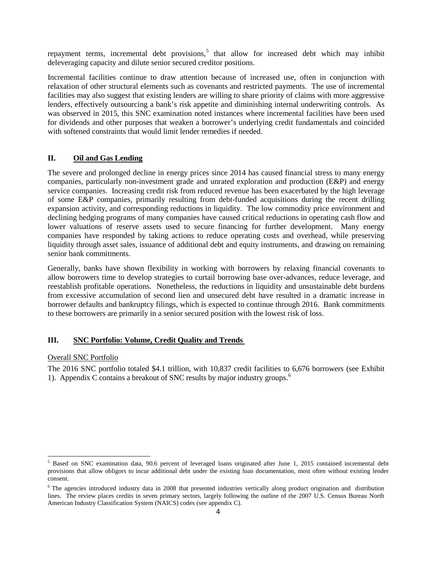repayment terms, incremental debt provisions,<sup>[5](#page-3-3)</sup> that allow for increased debt which may inhibit deleveraging capacity and dilute senior secured creditor positions.

Incremental facilities continue to draw attention because of increased use, often in conjunction with relaxation of other structural elements such as covenants and restricted payments. The use of incremental facilities may also suggest that existing lenders are willing to share priority of claims with more aggressive lenders, effectively outsourcing a bank's risk appetite and diminishing internal underwriting controls. As was observed in 2015, this SNC examination noted instances where incremental facilities have been used for dividends and other purposes that weaken a borrower's underlying credit fundamentals and coincided with softened constraints that would limit lender remedies if needed.

#### **II. Oil and Gas Lending**

The severe and prolonged decline in energy prices since 2014 has caused financial stress to many energy companies, particularly non-investment grade and unrated exploration and production (E&P) and energy service companies. Increasing credit risk from reduced revenue has been exacerbated by the high leverage of some E&P companies, primarily resulting from debt-funded acquisitions during the recent drilling expansion activity, and corresponding reductions in liquidity. The low commodity price environment and declining hedging programs of many companies have caused critical reductions in operating cash flow and lower valuations of reserve assets used to secure financing for further development. Many energy companies have responded by taking actions to reduce operating costs and overhead, while preserving liquidity through asset sales, issuance of additional debt and equity instruments, and drawing on remaining senior bank commitments.

Generally, banks have shown flexibility in working with borrowers by relaxing financial covenants to allow borrowers time to develop strategies to curtail borrowing base over-advances, reduce leverage, and reestablish profitable operations. Nonetheless, the reductions in liquidity and unsustainable debt burdens from excessive accumulation of second lien and unsecured debt have resulted in a dramatic increase in borrower defaults and bankruptcy filings, which is expected to continue through 2016. Bank commitments to these borrowers are primarily in a senior secured position with the lowest risk of loss.

#### <span id="page-3-1"></span><span id="page-3-0"></span>**III. SNC Portfolio: Volume, Credit Quality and Trends**

#### Overall SNC Portfolio

<span id="page-3-2"></span>The 2016 SNC portfolio totaled \$4.1 trillion, with 10,837 credit facilities to 6,676 borrowers (see Exhibit 1). Appendix C contains a breakout of SNC results by major industry groups. [6](#page-3-4)

<span id="page-3-3"></span><sup>&</sup>lt;sup>5</sup> Based on SNC examination data, 90.6 percent of leveraged loans originated after June 1, 2015 contained incremental debt provisions that allow obligors to incur additional debt under the existing loan documentation, most often without existing lender consent.

<span id="page-3-4"></span> $6$  The agencies introduced industry data in 2008 that presented industries vertically along product origination and distribution lines. The review places credits in seven primary sectors, largely following the outline of the 2007 U.S. Census Bureau North American Industry Classification System (NAICS) codes (see appendix C).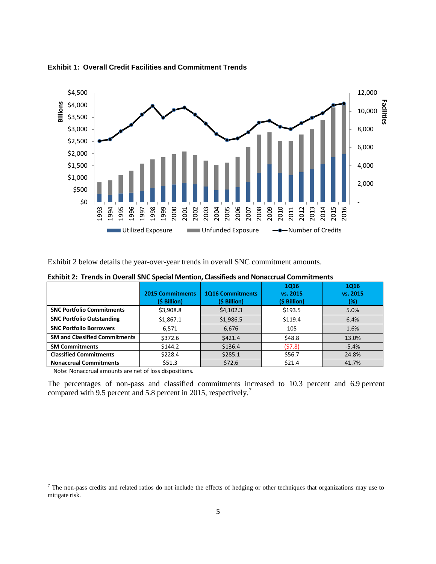

**Exhibit 1: Overall Credit Facilities and Commitment Trends**

<span id="page-4-0"></span>Exhibit 2 below details the year-over-year trends in overall SNC commitment amounts.

|                                      | <b>2015 Commitments</b><br>(\$ Billion) | <b>1016 Commitments</b><br>(\$ Billion) | <b>1Q16</b><br>vs. 2015<br>(\$ Billion) | <b>1Q16</b><br>vs. 2015<br>$(\%)$ |
|--------------------------------------|-----------------------------------------|-----------------------------------------|-----------------------------------------|-----------------------------------|
| <b>SNC Portfolio Commitments</b>     | \$3,908.8                               | \$4,102.3                               | \$193.5                                 | 5.0%                              |
| <b>SNC Portfolio Outstanding</b>     | \$1,867.1                               | \$1,986.5                               | \$119.4                                 | 6.4%                              |
| <b>SNC Portfolio Borrowers</b>       | 6,571                                   | 6,676                                   | 105                                     | 1.6%                              |
| <b>SM and Classified Commitments</b> | \$372.6                                 | \$421.4\$                               | \$48.8                                  | 13.0%                             |
| <b>SM Commitments</b>                | \$144.2                                 | \$136.4                                 | (57.8)                                  | $-5.4%$                           |
| <b>Classified Commitments</b>        | \$228.4                                 | \$285.1                                 | \$56.7                                  | 24.8%                             |
| <b>Nonaccrual Commitments</b>        | \$51.3                                  | \$72.6                                  | \$21.4                                  | 41.7%                             |

**Exhibit 2: Trends in Overall SNC Special Mention, Classifieds and Nonaccrual Commitments**

Note: Nonaccrual amounts are net of loss dispositions.

**.** 

The percentages of non-pass and classified commitments increased to 10.3 percent and 6.9 percent compared with 9.5 percent and 5.8 percent in 2015, respectively.<sup>[7](#page-4-1)</sup>

<span id="page-4-1"></span> $<sup>7</sup>$  The non-pass credits and related ratios do not include the effects of hedging or other techniques that organizations may use to</sup> mitigate risk.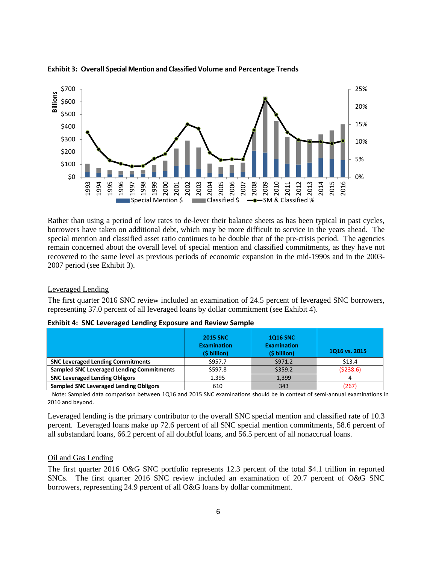

**Exhibit 3: Overall Special Mention and Classified Volume and Percentage Trends**

Rather than using a period of low rates to de-lever their balance sheets as has been typical in past cycles, borrowers have taken on additional debt, which may be more difficult to service in the years ahead. The special mention and classified asset ratio continues to be double that of the pre-crisis period. The agencies remain concerned about the overall level of special mention and classified commitments, as they have not recovered to the same level as previous periods of economic expansion in the mid-1990s and in the 2003- 2007 period (see Exhibit 3).

Leveraged Lending

The first quarter 2016 SNC review included an examination of 24.5 percent of leveraged SNC borrowers, representing 37.0 percent of all leveraged loans by dollar commitment (see Exhibit 4).

|                                                  | <b>2015 SNC</b><br><b>Examination</b><br>(\$ billion) | <b>1016 SNC</b><br><b>Examination</b><br>(\$ billion) | 1Q16 vs. 2015 |
|--------------------------------------------------|-------------------------------------------------------|-------------------------------------------------------|---------------|
| <b>SNC Leveraged Lending Commitments</b>         | \$957.7                                               | \$971.2                                               | \$13.4        |
| <b>Sampled SNC Leveraged Lending Commitments</b> | \$597.8                                               | \$359.2                                               | (5238.6)      |
| <b>SNC Leveraged Lending Obligors</b>            | 1,395                                                 | 1.399                                                 |               |
| <b>Sampled SNC Leveraged Lending Obligors</b>    | 610                                                   | 343                                                   | 267)          |

|  |  |  | <b>Exhibit 4: SNC Leveraged Lending Exposure and Review Sample</b> |
|--|--|--|--------------------------------------------------------------------|
|--|--|--|--------------------------------------------------------------------|

 Note: Sampled data comparison between 1Q16 and 2015 SNC examinations should be in context of semi-annual examinations in 2016 and beyond.

Leveraged lending is the primary contributor to the overall SNC special mention and classified rate of 10.3 percent. Leveraged loans make up 72.6 percent of all SNC special mention commitments, 58.6 percent of all substandard loans, 66.2 percent of all doubtful loans, and 56.5 percent of all nonaccrual loans.

#### Oil and Gas Lending

The first quarter 2016 O&G SNC portfolio represents 12.3 percent of the total \$4.1 trillion in reported SNCs. The first quarter 2016 SNC review included an examination of 20.7 percent of O&G SNC borrowers, representing 24.9 percent of all O&G loans by dollar commitment.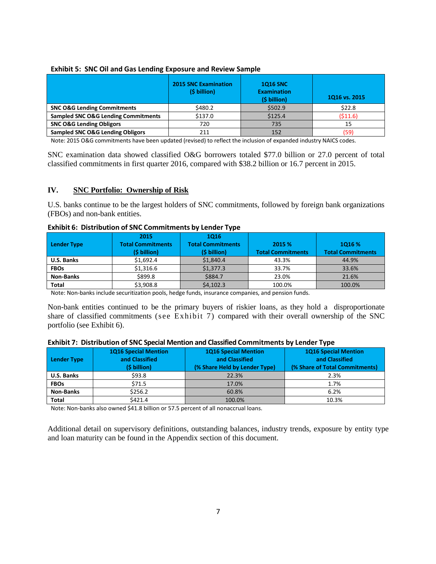|                                                | <b>2015 SNC Examination</b><br>(\$ billion) | <b>1Q16 SNC</b><br><b>Examination</b><br>(\$ billion) | 1Q16 vs. 2015 |  |
|------------------------------------------------|---------------------------------------------|-------------------------------------------------------|---------------|--|
| <b>SNC O&amp;G Lending Commitments</b>         | \$480.2                                     | \$502.9                                               | \$22.8        |  |
| <b>Sampled SNC O&amp;G Lending Commitments</b> | \$137.0                                     | \$125.4                                               | (511.6)       |  |
| <b>SNC O&amp;G Lending Obligors</b>            | 720                                         | 735                                                   | 15            |  |
| <b>Sampled SNC O&amp;G Lending Obligors</b>    | 211                                         | 152                                                   | (59)          |  |

#### **Exhibit 5: SNC Oil and Gas Lending Exposure and Review Sample**

Note: 2015 O&G commitments have been updated (revised) to reflect the inclusion of expanded industry NAICS codes.

SNC examination data showed classified O&G borrowers totaled \$77.0 billion or 27.0 percent of total classified commitments in first quarter 2016, compared with \$38.2 billion or 16.7 percent in 2015.

#### **IV. SNC Portfolio: Ownership of Risk**

U.S. banks continue to be the largest holders of SNC commitments, followed by foreign bank organizations (FBOs) and non-bank entities.

| <b>Exhibit 6: Distribution of SNC Commitments by Lender Type</b> |  |
|------------------------------------------------------------------|--|
|------------------------------------------------------------------|--|

|                  | 2015                     | 1016                     |                          |                          |
|------------------|--------------------------|--------------------------|--------------------------|--------------------------|
| Lender Type      | <b>Total Commitments</b> | <b>Total Commitments</b> |                          | 1016 %                   |
|                  | (\$ billion)             | (\$ billion)             | <b>Total Commitments</b> | <b>Total Commitments</b> |
| U.S. Banks       | \$1,692.4                | \$1,840.4                | 43.3%                    | 44.9%                    |
| <b>FBOs</b>      | \$1,316.6                | \$1,377.3                | 33.7%                    | 33.6%                    |
| <b>Non-Banks</b> | \$899.8                  | \$884.7                  | 23.0%                    | 21.6%                    |
| Total            | \$3,908.8                | \$4,102.3                | 100.0%                   | 100.0%                   |

Note: Non-banks include securitization pools, hedge funds, insurance companies, and pension funds.

Non-bank entities continued to be the primary buyers of riskier loans, as they hold a disproportionate share of classified commitments (see Exhibit 7) compared with their overall ownership of the SNC portfolio (see Exhibit 6).

#### **Exhibit 7: Distribution of SNC Special Mention and Classified Commitments by Lender Type**

| Lender Type       | <b>1Q16 Special Mention</b><br>and Classified<br>(\$ billion) | <b>1Q16 Special Mention</b><br>and Classified<br>(% Share Held by Lender Type) | <b>1Q16 Special Mention</b><br>and Classified<br>(% Share of Total Commitments) |  |
|-------------------|---------------------------------------------------------------|--------------------------------------------------------------------------------|---------------------------------------------------------------------------------|--|
| <b>U.S. Banks</b> | \$93.8                                                        | 22.3%                                                                          | 2.3%                                                                            |  |
| <b>FBOs</b>       | \$71.5                                                        | 17.0%                                                                          | 1.7%                                                                            |  |
| <b>Non-Banks</b>  | \$256.2                                                       | 60.8%                                                                          | 6.2%                                                                            |  |
| <b>Total</b>      | \$421.4                                                       | 100.0%                                                                         | 10.3%                                                                           |  |

Note: Non-banks also owned \$41.8 billion or 57.5 percent of all nonaccrual loans.

Additional detail on supervisory definitions, outstanding balances, industry trends, exposure by entity type and loan maturity can be found in the Appendix section of this document.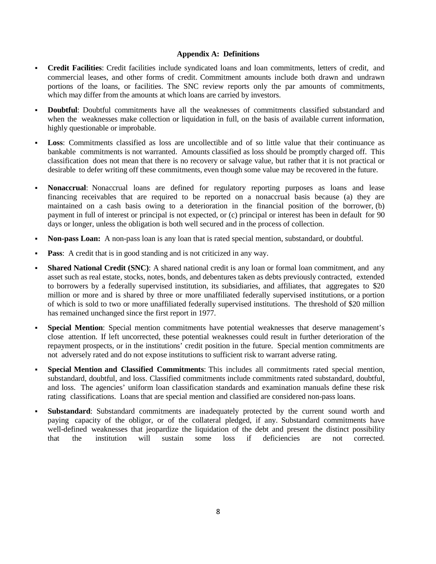#### **Appendix A: Definitions**

- **Credit Facilities**: Credit facilities include syndicated loans and loan commitments, letters of credit, and commercial leases, and other forms of credit. Commitment amounts include both drawn and undrawn portions of the loans, or facilities. The SNC review reports only the par amounts of commitments, which may differ from the amounts at which loans are carried by investors.
- **Doubtful**: Doubtful commitments have all the weaknesses of commitments classified substandard and when the weaknesses make collection or liquidation in full, on the basis of available current information, highly questionable or improbable.
- **Loss**: Commitments classified as loss are uncollectible and of so little value that their continuance as bankable commitments is not warranted. Amounts classified as loss should be promptly charged off. This classification does not mean that there is no recovery or salvage value, but rather that it is not practical or desirable to defer writing off these commitments, even though some value may be recovered in the future.
- **Nonaccrual**: Nonaccrual loans are defined for regulatory reporting purposes as loans and lease financing receivables that are required to be reported on a nonaccrual basis because (a) they are maintained on a cash basis owing to a deterioration in the financial position of the borrower, (b) payment in full of interest or principal is not expected, or (c) principal or interest has been in default for 90 days or longer, unless the obligation is both well secured and in the process of collection.
- **Non-pass Loan:** A non-pass loan is any loan that is rated special mention, substandard, or doubtful.
- **Pass:** A credit that is in good standing and is not criticized in any way.
- **Shared National Credit (SNC)**: A shared national credit is any loan or formal loan commitment, and any asset such as real estate, stocks, notes, bonds, and debentures taken as debts previously contracted, extended to borrowers by a federally supervised institution, its subsidiaries, and affiliates, that aggregates to \$20 million or more and is shared by three or more unaffiliated federally supervised institutions, or a portion of which is sold to two or more unaffiliated federally supervised institutions. The threshold of \$20 million has remained unchanged since the first report in 1977.
- **Special Mention**: Special mention commitments have potential weaknesses that deserve management's close attention. If left uncorrected, these potential weaknesses could result in further deterioration of the repayment prospects, or in the institutions' credit position in the future. Special mention commitments are not adversely rated and do not expose institutions to sufficient risk to warrant adverse rating.
- **Special Mention and Classified Commitments**: This includes all commitments rated special mention, substandard, doubtful, and loss. Classified commitments include commitments rated substandard, doubtful, and loss. The agencies' uniform loan classification standards and examination manuals define these risk rating classifications. Loans that are special mention and classified are considered non-pass loans.
- **Substandard**: Substandard commitments are inadequately protected by the current sound worth and paying capacity of the obligor, or of the collateral pledged, if any. Substandard commitments have well-defined weaknesses that jeopardize the liquidation of the debt and present the distinct possibility that the institution will sustain some loss if deficiencies are not corrected.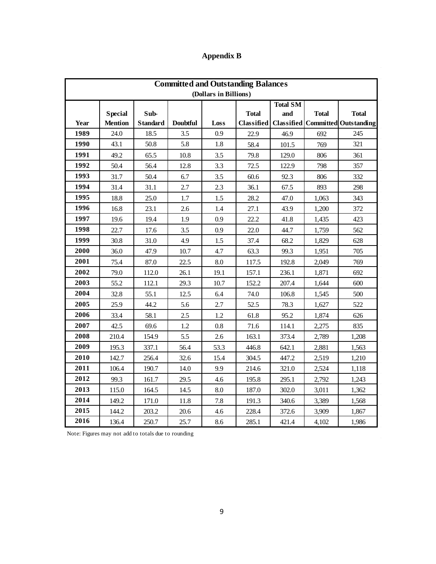| Appendix B |  |
|------------|--|
|            |  |

 $\mathcal{A}$ 

 $\bar{z}$ 

| <b>Committed and Outstanding Balances</b> |                |                 |                 |      |                   |                 |              |                                      |
|-------------------------------------------|----------------|-----------------|-----------------|------|-------------------|-----------------|--------------|--------------------------------------|
| (Dollars in Billions)                     |                |                 |                 |      |                   |                 |              |                                      |
|                                           |                |                 |                 |      |                   | <b>Total SM</b> |              |                                      |
|                                           | <b>Special</b> | Sub-            |                 |      | <b>Total</b>      | and             | <b>Total</b> | <b>Total</b>                         |
| Year                                      | <b>Mention</b> | <b>Standard</b> | <b>Doubtful</b> | Loss | <b>Classified</b> |                 |              | Classified   Committed   Outstanding |
| 1989                                      | 24.0           | 18.5            | 3.5             | 0.9  | 22.9              | 46.9            | 692          | 245                                  |
| 1990                                      | 43.1           | 50.8            | 5.8             | 1.8  | 58.4              | 101.5           | 769          | 321                                  |
| 1991                                      | 49.2           | 65.5            | 10.8            | 3.5  | 79.8              | 129.0           | 806          | 361                                  |
| 1992                                      | 50.4           | 56.4            | 12.8            | 3.3  | 72.5              | 122.9           | 798          | 357                                  |
| 1993                                      | 31.7           | 50.4            | 6.7             | 3.5  | 60.6              | 92.3            | 806          | 332                                  |
| 1994                                      | 31.4           | 31.1            | 2.7             | 2.3  | 36.1              | 67.5            | 893          | 298                                  |
| 1995                                      | 18.8           | 25.0            | 1.7             | 1.5  | 28.2              | 47.0            | 1,063        | 343                                  |
| 1996                                      | 16.8           | 23.1            | 2.6             | 1.4  | 27.1              | 43.9            | 1,200        | 372                                  |
| 1997                                      | 19.6           | 19.4            | 1.9             | 0.9  | 22.2              | 41.8            | 1,435        | 423                                  |
| 1998                                      | 22.7           | 17.6            | 3.5             | 0.9  | 22.0              | 44.7            | 1.759        | 562                                  |
| 1999                                      | 30.8           | 31.0            | 4.9             | 1.5  | 37.4              | 68.2            | 1,829        | 628                                  |
| 2000                                      | 36.0           | 47.9            | 10.7            | 4.7  | 63.3              | 99.3            | 1,951        | 705                                  |
| 2001                                      | 75.4           | 87.0            | 22.5            | 8.0  | 117.5             | 192.8           | 2.049        | 769                                  |
| 2002                                      | 79.0           | 112.0           | 26.1            | 19.1 | 157.1             | 236.1           | 1,871        | 692                                  |
| 2003                                      | 55.2           | 112.1           | 29.3            | 10.7 | 152.2             | 207.4           | 1,644        | 600                                  |
| 2004                                      | 32.8           | 55.1            | 12.5            | 6.4  | 74.0              | 106.8           | 1,545        | 500                                  |
| 2005                                      | 25.9           | 44.2            | 5.6             | 2.7  | 52.5              | 78.3            | 1.627        | 522                                  |
| 2006                                      | 33.4           | 58.1            | 2.5             | 1.2  | 61.8              | 95.2            | 1.874        | 626                                  |
| 2007                                      | 42.5           | 69.6            | 1.2             | 0.8  | 71.6              | 114.1           | 2,275        | 835                                  |
| 2008                                      | 210.4          | 154.9           | 5.5             | 2.6  | 163.1             | 373.4           | 2.789        | 1,208                                |
| 2009                                      | 195.3          | 337.1           | 56.4            | 53.3 | 446.8             | 642.1           | 2,881        | 1,563                                |
| 2010                                      | 142.7          | 256.4           | 32.6            | 15.4 | 304.5             | 447.2           | 2,519        | 1,210                                |
| 2011                                      | 106.4          | 190.7           | 14.0            | 9.9  | 214.6             | 321.0           | 2,524        | 1,118                                |
| 2012                                      | 99.3           | 161.7           | 29.5            | 4.6  | 195.8             | 295.1           | 2.792        | 1,243                                |
| 2013                                      | 115.0          | 164.5           | 14.5            | 8.0  | 187.0             | 302.0           | 3,011        | 1,362                                |
| 2014                                      | 149.2          | 171.0           | 11.8            | 7.8  | 191.3             | 340.6           | 3,389        | 1,568                                |
| 2015                                      | 144.2          | 203.2           | 20.6            | 4.6  | 228.4             | 372.6           | 3,909        | 1,867                                |
| 2016                                      | 136.4          | 250.7           | 25.7            | 8.6  | 285.1             | 421.4           | 4,102        | 1,986                                |

Note: Figures may not add to totals due to rounding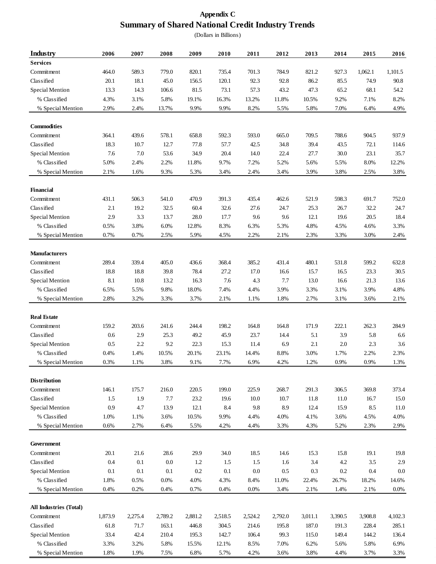# **Appendix C Summary of Shared National Credit Industry Trends**

(Dollars in Billions)

| <b>Industry</b>               | 2006    | 2007    | 2008    | 2009    | 2010    | 2011    | 2012    | 2013    | 2014    | 2015    | 2016    |
|-------------------------------|---------|---------|---------|---------|---------|---------|---------|---------|---------|---------|---------|
| <b>Services</b>               |         |         |         |         |         |         |         |         |         |         |         |
| Commitment                    | 464.0   | 589.3   | 779.0   | 820.1   | 735.4   | 701.3   | 784.9   | 821.2   | 927.3   | 1,062.1 | 1,101.5 |
| Classified                    | 20.1    | 18.1    | 45.0    | 156.5   | 120.1   | 92.3    | 92.8    | 86.2    | 85.5    | 74.9    | 90.8    |
| Special Mention               | 13.3    | 14.3    | 106.6   | 81.5    | 73.1    | 57.3    | 43.2    | 47.3    | 65.2    | 68.1    | 54.2    |
| % Classified                  | 4.3%    | 3.1%    | 5.8%    | 19.1%   | 16.3%   | 13.2%   | 11.8%   | 10.5%   | 9.2%    | 7.1%    | 8.2%    |
| % Special Mention             | 2.9%    | 2.4%    | 13.7%   | 9.9%    | 9.9%    | 8.2%    | 5.5%    | 5.8%    | 7.0%    | 6.4%    | 4.9%    |
|                               |         |         |         |         |         |         |         |         |         |         |         |
| <b>Commodities</b>            |         |         |         |         |         |         |         |         |         |         |         |
| Commitment                    | 364.1   | 439.6   | 578.1   | 658.8   | 592.3   | 593.0   | 665.0   | 709.5   | 788.6   | 904.5   | 937.9   |
| Classified                    | 18.3    | 10.7    | 12.7    | 77.8    | 57.7    | 42.5    | 34.8    | 39.4    | 43.5    | 72.1    | 114.6   |
| Special Mention               | 7.6     | $7.0\,$ | 53.6    | 34.9    | 20.4    | 14.0    | 22.4    | 27.7    | 30.0    | 23.1    | 35.7    |
| % Classified                  | 5.0%    | 2.4%    | 2.2%    | 11.8%   | 9.7%    | 7.2%    | 5.2%    | 5.6%    | 5.5%    | 8.0%    | 12.2%   |
| % Special Mention             | 2.1%    | 1.6%    | 9.3%    | 5.3%    | 3.4%    | 2.4%    | 3.4%    | 3.9%    | 3.8%    | 2.5%    | 3.8%    |
|                               |         |         |         |         |         |         |         |         |         |         |         |
| <b>Financial</b>              |         |         |         |         |         |         |         |         |         |         |         |
| Commitment                    | 431.1   | 506.3   | 541.0   | 470.9   | 391.3   | 435.4   | 462.6   | 521.9   | 598.3   | 691.7   | 752.0   |
| Classified                    | 2.1     | 19.2    | 32.5    | 60.4    | 32.6    | 27.6    | 24.7    | 25.3    | 26.7    | 32.2    | 24.7    |
| Special Mention               | 2.9     | 3.3     | 13.7    | 28.0    | 17.7    | 9.6     | 9.6     | 12.1    | 19.6    | 20.5    | 18.4    |
| % Classified                  | 0.5%    | 3.8%    | 6.0%    | 12.8%   | 8.3%    | 6.3%    | 5.3%    | 4.8%    | 4.5%    | 4.6%    | 3.3%    |
| % Special Mention             | 0.7%    | 0.7%    | 2.5%    | 5.9%    | 4.5%    | 2.2%    | 2.1%    | 2.3%    | 3.3%    | 3.0%    | 2.4%    |
| <b>Manufacturers</b>          |         |         |         |         |         |         |         |         |         |         |         |
| Commitment                    | 289.4   | 339.4   | 405.0   | 436.6   | 368.4   | 385.2   | 431.4   | 480.1   | 531.8   | 599.2   | 632.8   |
| Classified                    | 18.8    | 18.8    | 39.8    | 78.4    | 27.2    | 17.0    | 16.6    | 15.7    | 16.5    | 23.3    | 30.5    |
| Special Mention               | 8.1     | 10.8    | 13.2    | 16.3    | 7.6     | 4.3     | 7.7     | 13.0    | 16.6    | 21.3    | 13.6    |
| % Classified                  | 6.5%    | 5.5%    | 9.8%    | 18.0%   | 7.4%    | 4.4%    | 3.9%    | 3.3%    | 3.1%    | 3.9%    | 4.8%    |
| % Special Mention             | 2.8%    | 3.2%    | 3.3%    | 3.7%    | 2.1%    | 1.1%    | 1.8%    | 2.7%    | 3.1%    | 3.6%    | 2.1%    |
|                               |         |         |         |         |         |         |         |         |         |         |         |
| <b>Real Estate</b>            |         |         |         |         |         |         |         |         |         |         |         |
| Commitment                    | 159.2   | 203.6   | 241.6   | 244.4   | 198.2   | 164.8   | 164.8   | 171.9   | 222.1   | 262.3   | 284.9   |
| Classified                    | 0.6     | 2.9     | 25.3    | 49.2    | 45.9    | 23.7    | 14.4    | 5.1     | 3.9     | 5.8     | 6.6     |
| Special Mention               | 0.5     | 2.2     | 9.2     | 22.3    | 15.3    | 11.4    | 6.9     | 2.1     | 2.0     | 2.3     | 3.6     |
| % Classified                  | 0.4%    | 1.4%    | 10.5%   | 20.1%   | 23.1%   | 14.4%   | 8.8%    | 3.0%    | 1.7%    | 2.2%    | 2.3%    |
| % Special Mention             | 0.3%    | 1.1%    | 3.8%    | 9.1%    | 7.7%    | 6.9%    | 4.2%    | 1.2%    | 0.9%    | 0.9%    | 1.3%    |
| <b>Distribution</b>           |         |         |         |         |         |         |         |         |         |         |         |
| Commitment                    | 146.1   | 175.7   | 216.0   | 220.5   | 199.0   | 225.9   | 268.7   | 291.3   | 306.5   | 369.8   | 373.4   |
| Classified                    | 1.5     | 1.9     | 7.7     | 23.2    | 19.6    | 10.0    | 10.7    | 11.8    | 11.0    | 16.7    | 15.0    |
| Special Mention               | 0.9     | 4.7     | 13.9    | 12.1    | 8.4     | 9.8     | 8.9     | 12.4    | 15.9    | 8.5     | 11.0    |
| % Classified                  | 1.0%    | 1.1%    | 3.6%    | 10.5%   | 9.9%    | 4.4%    | 4.0%    | 4.1%    | 3.6%    | 4.5%    | 4.0%    |
| % Special Mention             | 0.6%    | 2.7%    | 6.4%    | 5.5%    | 4.2%    | 4.4%    | 3.3%    | 4.3%    | 5.2%    | 2.3%    | 2.9%    |
|                               |         |         |         |         |         |         |         |         |         |         |         |
| Government                    |         |         |         |         |         |         |         |         |         |         |         |
| Commitment                    | 20.1    | 21.6    | 28.6    | 29.9    | 34.0    | 18.5    | 14.6    | 15.3    | 15.8    | 19.1    | 19.8    |
| Classified                    | 0.4     | 0.1     | 0.0     | 1.2     | 1.5     | 1.5     | 1.6     | 3.4     | 4.2     | 3.5     | 2.9     |
| Special Mention               | 0.1     | 0.1     | 0.1     | $0.2\,$ | 0.1     | 0.0     | 0.5     | 0.3     | 0.2     | 0.4     | 0.0     |
| % Classified                  | 1.8%    | 0.5%    | 0.0%    | 4.0%    | 4.3%    | 8.4%    | 11.0%   | 22.4%   | 26.7%   | 18.2%   | 14.6%   |
| % Special Mention             | 0.4%    | 0.2%    | 0.4%    | 0.7%    | 0.4%    | 0.0%    | 3.4%    | 2.1%    | 1.4%    | 2.1%    | 0.0%    |
| <b>All Industries (Total)</b> |         |         |         |         |         |         |         |         |         |         |         |
| Commitment                    | 1,873.9 | 2,275.4 | 2,789.2 | 2,881.2 | 2,518.5 | 2,524.2 | 2,792.0 | 3,011.1 | 3,390.5 | 3,908.8 | 4,102.3 |
| Classified                    | 61.8    | 71.7    | 163.1   | 446.8   | 304.5   | 214.6   | 195.8   | 187.0   | 191.3   | 228.4   | 285.1   |
| Special Mention               | 33.4    | 42.4    | 210.4   | 195.3   | 142.7   | 106.4   | 99.3    | 115.0   | 149.4   | 144.2   | 136.4   |
| % Classified                  | 3.3%    | 3.2%    | 5.8%    | 15.5%   | 12.1%   | 8.5%    | 7.0%    | 6.2%    | 5.6%    | 5.8%    | 6.9%    |
| % Special Mention             | 1.8%    | 1.9%    | 7.5%    | 6.8%    | 5.7%    | 4.2%    | 3.6%    | 3.8%    | 4.4%    | 3.7%    | 3.3%    |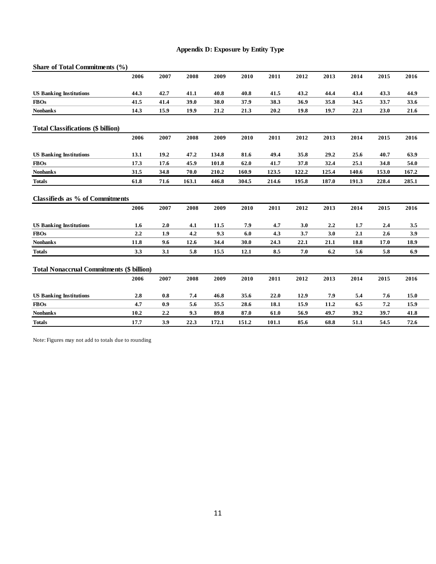## **Appendix D: Exposure by Entity Type**

| Share of Total Commitments (%)                   |      |                  |       |       |       |       |       |       |       |       |       |
|--------------------------------------------------|------|------------------|-------|-------|-------|-------|-------|-------|-------|-------|-------|
|                                                  | 2006 | 2007             | 2008  | 2009  | 2010  | 2011  | 2012  | 2013  | 2014  | 2015  | 2016  |
| <b>US Banking Institutions</b>                   | 44.3 | 42.7             | 41.1  | 40.8  | 40.8  | 41.5  | 43.2  | 44.4  | 43.4  | 43.3  | 44.9  |
| <b>FBOs</b>                                      | 41.5 | 41.4             | 39.0  | 38.0  | 37.9  | 38.3  | 36.9  | 35.8  | 34.5  | 33.7  | 33.6  |
| <b>Nonbanks</b>                                  | 14.3 | 15.9             | 19.9  | 21.2  | 21.3  | 20.2  | 19.8  | 19.7  | 22.1  | 23.0  | 21.6  |
| <b>Total Classifications (\$ billion)</b>        |      |                  |       |       |       |       |       |       |       |       |       |
|                                                  | 2006 | 2007             | 2008  | 2009  | 2010  | 2011  | 2012  | 2013  | 2014  | 2015  | 2016  |
| <b>US Banking Institutions</b>                   | 13.1 | 19.2             | 47.2  | 134.8 | 81.6  | 49.4  | 35.8  | 29.2  | 25.6  | 40.7  | 63.9  |
| <b>FBOs</b>                                      | 17.3 | 17.6             | 45.9  | 101.8 | 62.0  | 41.7  | 37.8  | 32.4  | 25.1  | 34.8  | 54.0  |
| <b>Nonbanks</b>                                  | 31.5 | 34.8             | 70.0  | 210.2 | 160.9 | 123.5 | 122.2 | 125.4 | 140.6 | 153.0 | 167.2 |
| <b>Totals</b>                                    | 61.8 | 71.6             | 163.1 | 446.8 | 304.5 | 214.6 | 195.8 | 187.0 | 191.3 | 228.4 | 285.1 |
| Classifieds as % of Commitments                  |      |                  |       |       |       |       |       |       |       |       |       |
|                                                  | 2006 | 2007             | 2008  | 2009  | 2010  | 2011  | 2012  | 2013  | 2014  | 2015  | 2016  |
|                                                  |      |                  |       |       |       |       |       |       |       |       |       |
| <b>US Banking Institutions</b>                   | 1.6  | 2.0              | 4.1   | 11.5  | 7.9   | 4.7   | 3.0   | 2.2   | 1.7   | 2.4   | 3.5   |
| <b>FBOs</b>                                      | 2.2  | 1.9              | 4.2   | 9.3   | 6.0   | 4.3   | 3.7   | 3.0   | 2.1   | 2.6   | 3.9   |
| <b>Nonbanks</b>                                  | 11.8 | 9.6              | 12.6  | 34.4  | 30.0  | 24.3  | 22.1  | 21.1  | 18.8  | 17.0  | 18.9  |
| <b>Totals</b>                                    | 3.3  | 3.1              | 5.8   | 15.5  | 12.1  | 8.5   | 7.0   | 6.2   | 5.6   | 5.8   | 6.9   |
| <b>Total Nonaccrual Commitments (\$ billion)</b> |      |                  |       |       |       |       |       |       |       |       |       |
|                                                  | 2006 | 2007             | 2008  | 2009  | 2010  | 2011  | 2012  | 2013  | 2014  | 2015  | 2016  |
| <b>US Banking Institutions</b>                   | 2.8  | 0.8              | 7.4   | 46.8  | 35.6  | 22.0  | 12.9  | 7.9   | 5.4   | 7.6   | 15.0  |
| <b>FBOs</b>                                      | 4.7  | 0.9              | 5.6   | 35.5  | 28.6  | 18.1  | 15.9  | 11.2  | 6.5   | 7.2   | 15.9  |
| <b>Nonbanks</b>                                  | 10.2 | $2.2\phantom{0}$ | 9.3   | 89.8  | 87.0  | 61.0  | 56.9  | 49.7  | 39.2  | 39.7  | 41.8  |

Note: Figures may not add to totals due to rounding